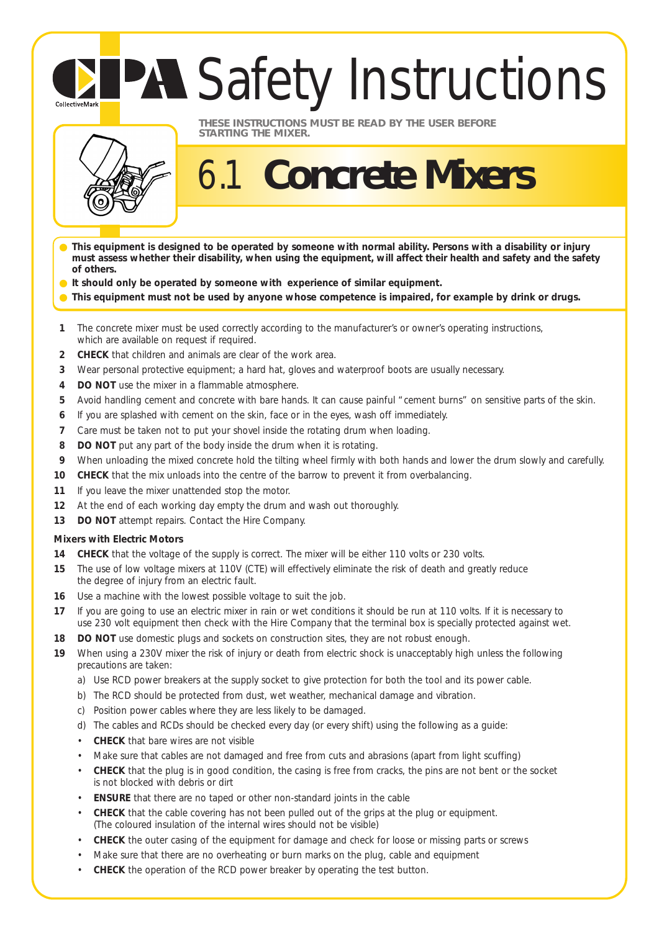# **PA Safety Instructions**



CollectiveMark

#### **THESE INSTRUCTIONS MUST BE READ BY THE USER BEFORE STARTING THE MIXER.**

## 6.1 **Concrete Mixers**

- **This equipment is designed to be operated by someone with normal ability. Persons with a disability or injury must assess whether their disability, when using the equipment, will affect their health and safety and the safety of others.**
- **It should only be operated by someone with experience of similar equipment.**
- This equipment must not be used by anyone whose competence is impaired, for example by drink or drugs.
- **1** The concrete mixer must be used correctly according to the manufacturer's or owner's operating instructions, which are available on request if required.
- **2 CHECK** that children and animals are clear of the work area.
- **3** Wear personal protective equipment; a hard hat, gloves and waterproof boots are usually necessary.
- **4 DO NOT** use the mixer in a flammable atmosphere.
- **5** Avoid handling cement and concrete with bare hands. It can cause painful "cement burns" on sensitive parts of the skin.
- **6** If you are splashed with cement on the skin, face or in the eyes, wash off immediately.
- **7** Care must be taken not to put your shovel inside the rotating drum when loading.
- **8 DO NOT** put any part of the body inside the drum when it is rotating.
- **9** When unloading the mixed concrete hold the tilting wheel firmly with both hands and lower the drum slowly and carefully.
- **10 CHECK** that the mix unloads into the centre of the barrow to prevent it from overbalancing.
- **11** If you leave the mixer unattended stop the motor.
- **12** At the end of each working day empty the drum and wash out thoroughly.
- **13 DO NOT** attempt repairs. Contact the Hire Company.

### **Mixers with Electric Motors**

- **14 CHECK** that the voltage of the supply is correct. The mixer will be either 110 volts or 230 volts.
- **15** The use of low voltage mixers at 110V (CTE) will effectively eliminate the risk of death and greatly reduce the degree of injury from an electric fault.
- **16** Use a machine with the lowest possible voltage to suit the job.
- **17** If you are going to use an electric mixer in rain or wet conditions it should be run at 110 volts. If it is necessary to use 230 volt equipment then check with the Hire Company that the terminal box is specially protected against wet.
- **18 DO NOT** use domestic plugs and sockets on construction sites, they are not robust enough.
- **19** When using a 230V mixer the risk of injury or death from electric shock is unacceptably high unless the following precautions are taken:
	- a) Use RCD power breakers at the supply socket to give protection for both the tool and its power cable.
	- b) The RCD should be protected from dust, wet weather, mechanical damage and vibration.
	- c) Position power cables where they are less likely to be damaged.
	- d) The cables and RCDs should be checked every day (or every shift) using the following as a guide:
	- **CHECK** that bare wires are not visible
	- Make sure that cables are not damaged and free from cuts and abrasions (apart from light scuffing)
	- **CHECK** that the plug is in good condition, the casing is free from cracks, the pins are not bent or the socket is not blocked with debris or dirt
	- **ENSURE** that there are no taped or other non-standard joints in the cable
	- **CHECK** that the cable covering has not been pulled out of the grips at the plug or equipment. (The coloured insulation of the internal wires should not be visible)
	- **CHECK** the outer casing of the equipment for damage and check for loose or missing parts or screws
	- Make sure that there are no overheating or burn marks on the plug, cable and equipment
	- **CHECK** the operation of the RCD power breaker by operating the test button.